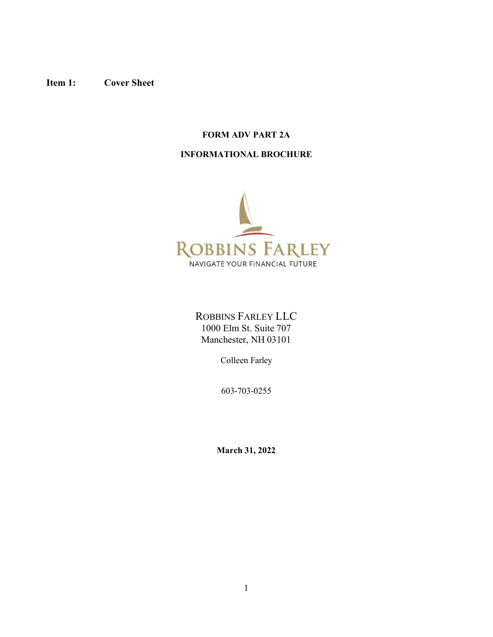# Item 1: Cover Sheet

# FORM ADV PART 2A

# INFORMATIONAL BROCHURE



ROBBINS FARLEY LLC 1000 Elm St. Suite 707 Manchester, NH 03101

Colleen Farley

603-703-0255

March 31, 2022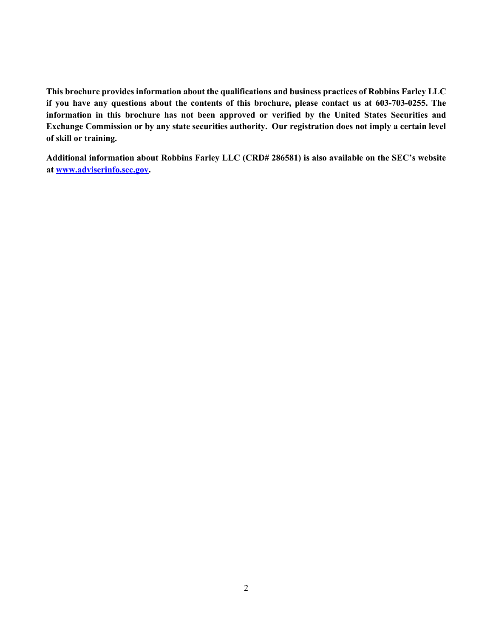This brochure provides information about the qualifications and business practices of Robbins Farley LLC if you have any questions about the contents of this brochure, please contact us at 603-703-0255. The information in this brochure has not been approved or verified by the United States Securities and Exchange Commission or by any state securities authority. Our registration does not imply a certain level of skill or training.

Additional information about Robbins Farley LLC (CRD# 286581) is also available on the SEC's website at www.adviserinfo.sec.gov.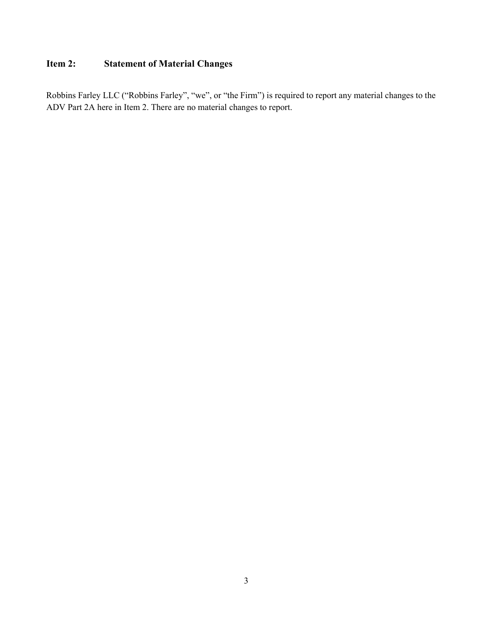# Item 2: Statement of Material Changes

Robbins Farley LLC ("Robbins Farley", "we", or "the Firm") is required to report any material changes to the ADV Part 2A here in Item 2. There are no material changes to report.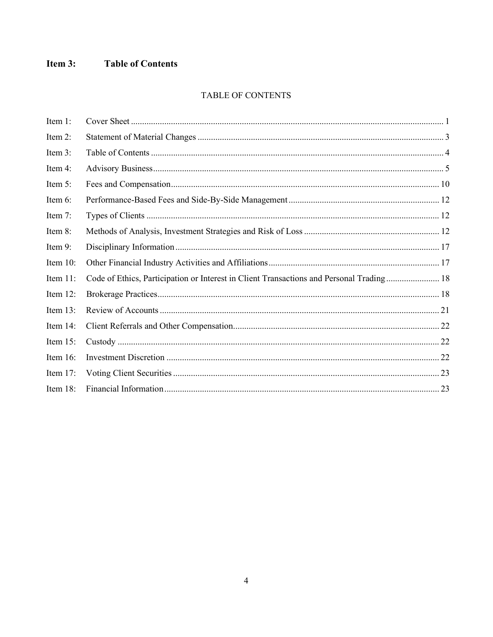#### Item 3: **Table of Contents**

# TABLE OF CONTENTS

| Item 1:     |                                                                                          |  |
|-------------|------------------------------------------------------------------------------------------|--|
| Item 2:     |                                                                                          |  |
| Item 3:     |                                                                                          |  |
| Item 4:     |                                                                                          |  |
| Item 5:     |                                                                                          |  |
| Item 6:     |                                                                                          |  |
| Item 7:     |                                                                                          |  |
| Item 8:     |                                                                                          |  |
| Item 9:     |                                                                                          |  |
| Item 10:    |                                                                                          |  |
| Item 11:    | Code of Ethics, Participation or Interest in Client Transactions and Personal Trading 18 |  |
| Item 12:    |                                                                                          |  |
| Item 13:    |                                                                                          |  |
| Item 14:    |                                                                                          |  |
| Item 15:    |                                                                                          |  |
| Item 16:    |                                                                                          |  |
| Item $17$ : |                                                                                          |  |
| Item 18:    |                                                                                          |  |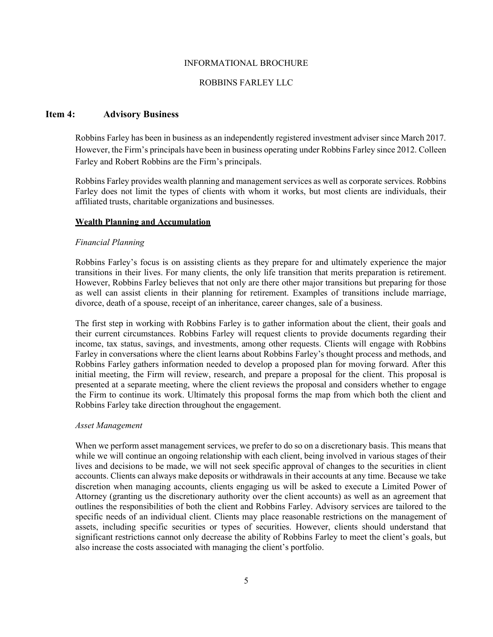#### INFORMATIONAL BROCHURE

#### ROBBINS FARLEY LLC

### Item 4: Advisory Business

Robbins Farley has been in business as an independently registered investment adviser since March 2017. However, the Firm's principals have been in business operating under Robbins Farley since 2012. Colleen Farley and Robert Robbins are the Firm's principals.

Robbins Farley provides wealth planning and management services as well as corporate services. Robbins Farley does not limit the types of clients with whom it works, but most clients are individuals, their affiliated trusts, charitable organizations and businesses.

### Wealth Planning and Accumulation

#### Financial Planning

Robbins Farley's focus is on assisting clients as they prepare for and ultimately experience the major transitions in their lives. For many clients, the only life transition that merits preparation is retirement. However, Robbins Farley believes that not only are there other major transitions but preparing for those as well can assist clients in their planning for retirement. Examples of transitions include marriage, divorce, death of a spouse, receipt of an inheritance, career changes, sale of a business.

The first step in working with Robbins Farley is to gather information about the client, their goals and their current circumstances. Robbins Farley will request clients to provide documents regarding their income, tax status, savings, and investments, among other requests. Clients will engage with Robbins Farley in conversations where the client learns about Robbins Farley's thought process and methods, and Robbins Farley gathers information needed to develop a proposed plan for moving forward. After this initial meeting, the Firm will review, research, and prepare a proposal for the client. This proposal is presented at a separate meeting, where the client reviews the proposal and considers whether to engage the Firm to continue its work. Ultimately this proposal forms the map from which both the client and Robbins Farley take direction throughout the engagement.

### Asset Management

When we perform asset management services, we prefer to do so on a discretionary basis. This means that while we will continue an ongoing relationship with each client, being involved in various stages of their lives and decisions to be made, we will not seek specific approval of changes to the securities in client accounts. Clients can always make deposits or withdrawals in their accounts at any time. Because we take discretion when managing accounts, clients engaging us will be asked to execute a Limited Power of Attorney (granting us the discretionary authority over the client accounts) as well as an agreement that outlines the responsibilities of both the client and Robbins Farley. Advisory services are tailored to the specific needs of an individual client. Clients may place reasonable restrictions on the management of assets, including specific securities or types of securities. However, clients should understand that significant restrictions cannot only decrease the ability of Robbins Farley to meet the client's goals, but also increase the costs associated with managing the client's portfolio.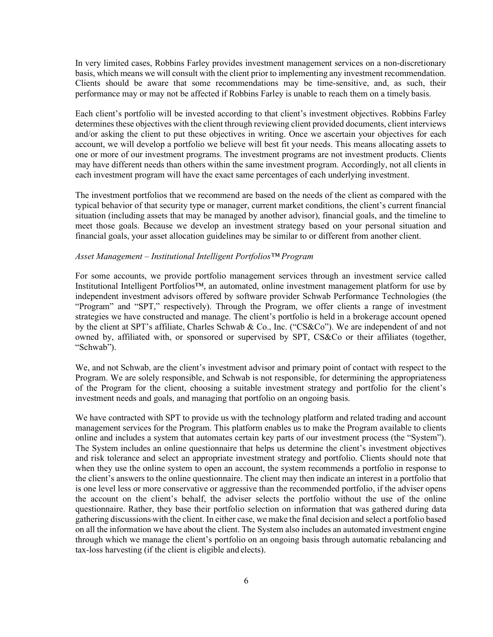In very limited cases, Robbins Farley provides investment management services on a non-discretionary basis, which means we will consult with the client prior to implementing any investment recommendation. Clients should be aware that some recommendations may be time-sensitive, and, as such, their performance may or may not be affected if Robbins Farley is unable to reach them on a timely basis.

Each client's portfolio will be invested according to that client's investment objectives. Robbins Farley determines these objectives with the client through reviewing client provided documents, client interviews and/or asking the client to put these objectives in writing. Once we ascertain your objectives for each account, we will develop a portfolio we believe will best fit your needs. This means allocating assets to one or more of our investment programs. The investment programs are not investment products. Clients may have different needs than others within the same investment program. Accordingly, not all clients in each investment program will have the exact same percentages of each underlying investment.

The investment portfolios that we recommend are based on the needs of the client as compared with the typical behavior of that security type or manager, current market conditions, the client's current financial situation (including assets that may be managed by another advisor), financial goals, and the timeline to meet those goals. Because we develop an investment strategy based on your personal situation and financial goals, your asset allocation guidelines may be similar to or different from another client.

#### Asset Management – Institutional Intelligent Portfolios™ Program

For some accounts, we provide portfolio management services through an investment service called Institutional Intelligent Portfolios™, an automated, online investment management platform for use by independent investment advisors offered by software provider Schwab Performance Technologies (the "Program" and "SPT," respectively). Through the Program, we offer clients a range of investment strategies we have constructed and manage. The client's portfolio is held in a brokerage account opened by the client at SPT's affiliate, Charles Schwab & Co., Inc. ("CS&Co"). We are independent of and not owned by, affiliated with, or sponsored or supervised by SPT, CS&Co or their affiliates (together, "Schwab").

We, and not Schwab, are the client's investment advisor and primary point of contact with respect to the Program. We are solely responsible, and Schwab is not responsible, for determining the appropriateness of the Program for the client, choosing a suitable investment strategy and portfolio for the client's investment needs and goals, and managing that portfolio on an ongoing basis.

We have contracted with SPT to provide us with the technology platform and related trading and account management services for the Program. This platform enables us to make the Program available to clients online and includes a system that automates certain key parts of our investment process (the "System"). The System includes an online questionnaire that helps us determine the client's investment objectives and risk tolerance and select an appropriate investment strategy and portfolio. Clients should note that when they use the online system to open an account, the system recommends a portfolio in response to the client's answers to the online questionnaire. The client may then indicate an interest in a portfolio that is one level less or more conservative or aggressive than the recommended portfolio, if the adviser opens the account on the client's behalf, the adviser selects the portfolio without the use of the online questionnaire. Rather, they base their portfolio selection on information that was gathered during data gathering discussions with the client. In either case, we make the final decision and select a portfolio based on all the information we have about the client. The System also includes an automated investment engine through which we manage the client's portfolio on an ongoing basis through automatic rebalancing and tax-loss harvesting (if the client is eligible and elects).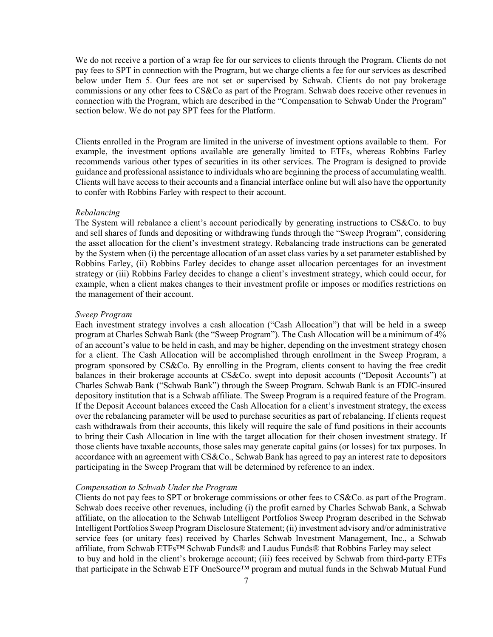We do not receive a portion of a wrap fee for our services to clients through the Program. Clients do not pay fees to SPT in connection with the Program, but we charge clients a fee for our services as described below under Item 5. Our fees are not set or supervised by Schwab. Clients do not pay brokerage commissions or any other fees to CS&Co as part of the Program. Schwab does receive other revenues in connection with the Program, which are described in the "Compensation to Schwab Under the Program" section below. We do not pay SPT fees for the Platform.

Clients enrolled in the Program are limited in the universe of investment options available to them. For example, the investment options available are generally limited to ETFs, whereas Robbins Farley recommends various other types of securities in its other services. The Program is designed to provide guidance and professional assistance to individuals who are beginning the process of accumulating wealth. Clients will have access to their accounts and a financial interface online but will also have the opportunity to confer with Robbins Farley with respect to their account.

### Rebalancing

The System will rebalance a client's account periodically by generating instructions to CS&Co. to buy and sell shares of funds and depositing or withdrawing funds through the "Sweep Program", considering the asset allocation for the client's investment strategy. Rebalancing trade instructions can be generated by the System when (i) the percentage allocation of an asset class varies by a set parameter established by Robbins Farley, (ii) Robbins Farley decides to change asset allocation percentages for an investment strategy or (iii) Robbins Farley decides to change a client's investment strategy, which could occur, for example, when a client makes changes to their investment profile or imposes or modifies restrictions on the management of their account.

#### Sweep Program

Each investment strategy involves a cash allocation ("Cash Allocation") that will be held in a sweep program at Charles Schwab Bank (the "Sweep Program"). The Cash Allocation will be a minimum of 4% of an account's value to be held in cash, and may be higher, depending on the investment strategy chosen for a client. The Cash Allocation will be accomplished through enrollment in the Sweep Program, a program sponsored by CS&Co. By enrolling in the Program, clients consent to having the free credit balances in their brokerage accounts at CS&Co. swept into deposit accounts ("Deposit Accounts") at Charles Schwab Bank ("Schwab Bank") through the Sweep Program. Schwab Bank is an FDIC-insured depository institution that is a Schwab affiliate. The Sweep Program is a required feature of the Program. If the Deposit Account balances exceed the Cash Allocation for a client's investment strategy, the excess over the rebalancing parameter will be used to purchase securities as part of rebalancing. If clients request cash withdrawals from their accounts, this likely will require the sale of fund positions in their accounts to bring their Cash Allocation in line with the target allocation for their chosen investment strategy. If those clients have taxable accounts, those sales may generate capital gains (or losses) for tax purposes. In accordance with an agreement with CS&Co., Schwab Bank has agreed to pay an interest rate to depositors participating in the Sweep Program that will be determined by reference to an index.

#### Compensation to Schwab Under the Program

Clients do not pay fees to SPT or brokerage commissions or other fees to CS&Co. as part of the Program. Schwab does receive other revenues, including (i) the profit earned by Charles Schwab Bank, a Schwab affiliate, on the allocation to the Schwab Intelligent Portfolios Sweep Program described in the Schwab Intelligent Portfolios Sweep Program Disclosure Statement; (ii) investment advisory and/or administrative service fees (or unitary fees) received by Charles Schwab Investment Management, Inc., a Schwab affiliate, from Schwab ETFs™ Schwab Funds® and Laudus Funds® that Robbins Farley may select to buy and hold in the client's brokerage account; (iii) fees received by Schwab from third-party ETFs that participate in the Schwab ETF OneSource™ program and mutual funds in the Schwab Mutual Fund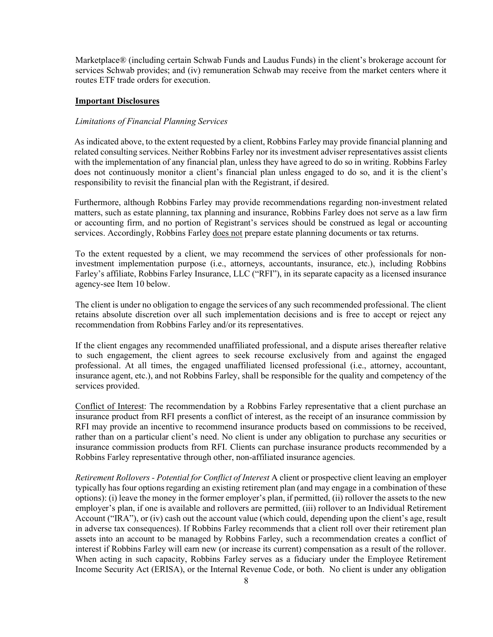Marketplace® (including certain Schwab Funds and Laudus Funds) in the client's brokerage account for services Schwab provides; and (iv) remuneration Schwab may receive from the market centers where it routes ETF trade orders for execution.

### Important Disclosures

#### Limitations of Financial Planning Services

As indicated above, to the extent requested by a client, Robbins Farley may provide financial planning and related consulting services. Neither Robbins Farley nor its investment adviser representatives assist clients with the implementation of any financial plan, unless they have agreed to do so in writing. Robbins Farley does not continuously monitor a client's financial plan unless engaged to do so, and it is the client's responsibility to revisit the financial plan with the Registrant, if desired.

Furthermore, although Robbins Farley may provide recommendations regarding non-investment related matters, such as estate planning, tax planning and insurance, Robbins Farley does not serve as a law firm or accounting firm, and no portion of Registrant's services should be construed as legal or accounting services. Accordingly, Robbins Farley does not prepare estate planning documents or tax returns.

To the extent requested by a client, we may recommend the services of other professionals for noninvestment implementation purpose (i.e., attorneys, accountants, insurance, etc.), including Robbins Farley's affiliate, Robbins Farley Insurance, LLC ("RFI"), in its separate capacity as a licensed insurance agency-see Item 10 below.

The client is under no obligation to engage the services of any such recommended professional. The client retains absolute discretion over all such implementation decisions and is free to accept or reject any recommendation from Robbins Farley and/or its representatives.

If the client engages any recommended unaffiliated professional, and a dispute arises thereafter relative to such engagement, the client agrees to seek recourse exclusively from and against the engaged professional. At all times, the engaged unaffiliated licensed professional (i.e., attorney, accountant, insurance agent, etc.), and not Robbins Farley, shall be responsible for the quality and competency of the services provided.

Conflict of Interest: The recommendation by a Robbins Farley representative that a client purchase an insurance product from RFI presents a conflict of interest, as the receipt of an insurance commission by RFI may provide an incentive to recommend insurance products based on commissions to be received, rather than on a particular client's need. No client is under any obligation to purchase any securities or insurance commission products from RFI. Clients can purchase insurance products recommended by a Robbins Farley representative through other, non-affiliated insurance agencies.

Retirement Rollovers - Potential for Conflict of Interest A client or prospective client leaving an employer typically has four options regarding an existing retirement plan (and may engage in a combination of these options): (i) leave the money in the former employer's plan, if permitted, (ii) rollover the assets to the new employer's plan, if one is available and rollovers are permitted, (iii) rollover to an Individual Retirement Account ("IRA"), or (iv) cash out the account value (which could, depending upon the client's age, result in adverse tax consequences). If Robbins Farley recommends that a client roll over their retirement plan assets into an account to be managed by Robbins Farley, such a recommendation creates a conflict of interest if Robbins Farley will earn new (or increase its current) compensation as a result of the rollover. When acting in such capacity, Robbins Farley serves as a fiduciary under the Employee Retirement Income Security Act (ERISA), or the Internal Revenue Code, or both. No client is under any obligation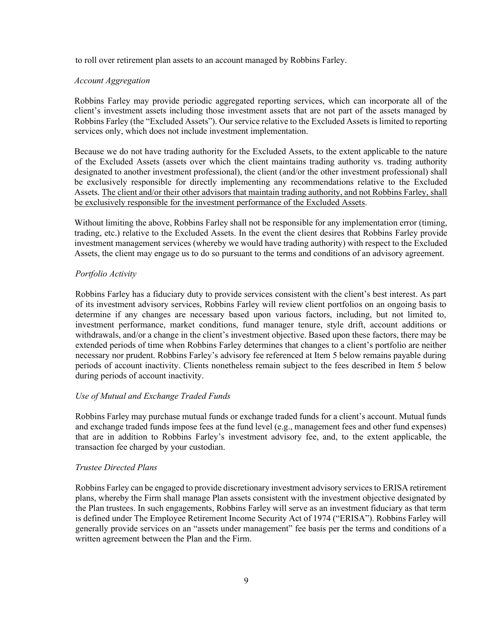to roll over retirement plan assets to an account managed by Robbins Farley.

### Account Aggregation

Robbins Farley may provide periodic aggregated reporting services, which can incorporate all of the client's investment assets including those investment assets that are not part of the assets managed by Robbins Farley (the "Excluded Assets"). Our service relative to the Excluded Assets is limited to reporting services only, which does not include investment implementation.

Because we do not have trading authority for the Excluded Assets, to the extent applicable to the nature of the Excluded Assets (assets over which the client maintains trading authority vs. trading authority designated to another investment professional), the client (and/or the other investment professional) shall be exclusively responsible for directly implementing any recommendations relative to the Excluded Assets. The client and/or their other advisors that maintain trading authority, and not Robbins Farley, shall be exclusively responsible for the investment performance of the Excluded Assets.

Without limiting the above, Robbins Farley shall not be responsible for any implementation error (timing, trading, etc.) relative to the Excluded Assets. In the event the client desires that Robbins Farley provide investment management services (whereby we would have trading authority) with respect to the Excluded Assets, the client may engage us to do so pursuant to the terms and conditions of an advisory agreement.

#### Portfolio Activity

Robbins Farley has a fiduciary duty to provide services consistent with the client's best interest. As part of its investment advisory services, Robbins Farley will review client portfolios on an ongoing basis to determine if any changes are necessary based upon various factors, including, but not limited to, investment performance, market conditions, fund manager tenure, style drift, account additions or withdrawals, and/or a change in the client's investment objective. Based upon these factors, there may be extended periods of time when Robbins Farley determines that changes to a client's portfolio are neither necessary nor prudent. Robbins Farley's advisory fee referenced at Item 5 below remains payable during periods of account inactivity. Clients nonetheless remain subject to the fees described in Item 5 below during periods of account inactivity.

### Use of Mutual and Exchange Traded Funds

Robbins Farley may purchase mutual funds or exchange traded funds for a client's account. Mutual funds and exchange traded funds impose fees at the fund level (e.g., management fees and other fund expenses) that are in addition to Robbins Farley's investment advisory fee, and, to the extent applicable, the transaction fee charged by your custodian.

#### Trustee Directed Plans

Robbins Farley can be engaged to provide discretionary investment advisory services to ERISA retirement plans, whereby the Firm shall manage Plan assets consistent with the investment objective designated by the Plan trustees. In such engagements, Robbins Farley will serve as an investment fiduciary as that term is defined under The Employee Retirement Income Security Act of 1974 ("ERISA"). Robbins Farley will generally provide services on an "assets under management" fee basis per the terms and conditions of a written agreement between the Plan and the Firm.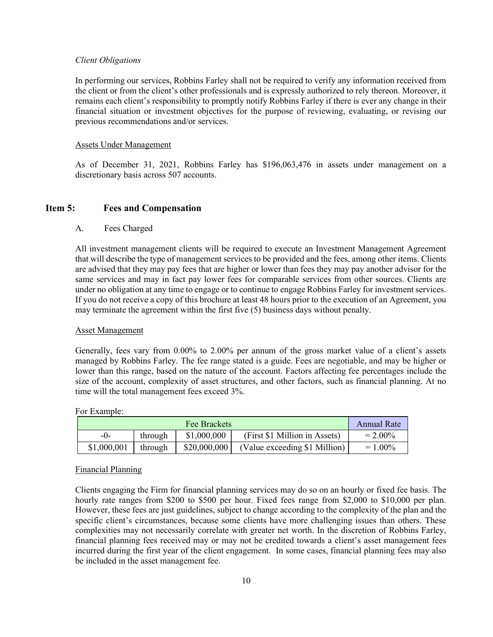### Client Obligations

In performing our services, Robbins Farley shall not be required to verify any information received from the client or from the client's other professionals and is expressly authorized to rely thereon. Moreover, it remains each client's responsibility to promptly notify Robbins Farley if there is ever any change in their financial situation or investment objectives for the purpose of reviewing, evaluating, or revising our previous recommendations and/or services.

#### Assets Under Management

As of December 31, 2021, Robbins Farley has \$196,063,476 in assets under management on a discretionary basis across 507 accounts.

### Item 5: Fees and Compensation

### A. Fees Charged

All investment management clients will be required to execute an Investment Management Agreement that will describe the type of management services to be provided and the fees, among other items. Clients are advised that they may pay fees that are higher or lower than fees they may pay another advisor for the same services and may in fact pay lower fees for comparable services from other sources. Clients are under no obligation at any time to engage or to continue to engage Robbins Farley for investment services. If you do not receive a copy of this brochure at least 48 hours prior to the execution of an Agreement, you may terminate the agreement within the first five (5) business days without penalty.

### Asset Management

Generally, fees vary from 0.00% to 2.00% per annum of the gross market value of a client's assets managed by Robbins Farley. The fee range stated is a guide. Fees are negotiable, and may be higher or lower than this range, based on the nature of the account. Factors affecting fee percentages include the size of the account, complexity of asset structures, and other factors, such as financial planning. At no time will the total management fees exceed 3%.

| <b>Fee Brackets</b> |  |         |              |                               | Annual Rate |
|---------------------|--|---------|--------------|-------------------------------|-------------|
| -()-                |  | through | \$1,000,000  | (First \$1 Million in Assets) | $= 2.00\%$  |
| \$1,000,001         |  | through | \$20,000,000 | (Value exceeding \$1 Million) | $= 1.00\%$  |

### For Example:

#### Financial Planning

Clients engaging the Firm for financial planning services may do so on an hourly or fixed fee basis. The hourly rate ranges from \$200 to \$500 per hour. Fixed fees range from \$2,000 to \$10,000 per plan. However, these fees are just guidelines, subject to change according to the complexity of the plan and the specific client's circumstances, because some clients have more challenging issues than others. These complexities may not necessarily correlate with greater net worth. In the discretion of Robbins Farley, financial planning fees received may or may not be credited towards a client's asset management fees incurred during the first year of the client engagement. In some cases, financial planning fees may also be included in the asset management fee.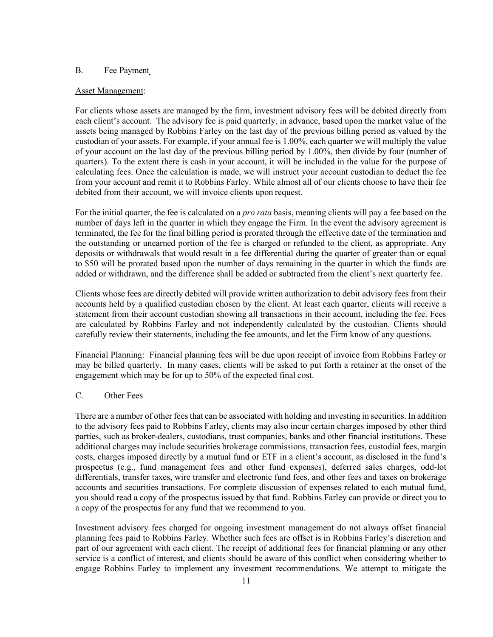### B. Fee Payment

#### Asset Management:

For clients whose assets are managed by the firm, investment advisory fees will be debited directly from each client's account. The advisory fee is paid quarterly, in advance, based upon the market value of the assets being managed by Robbins Farley on the last day of the previous billing period as valued by the custodian of your assets. For example, if your annual fee is 1.00%, each quarter we will multiply the value of your account on the last day of the previous billing period by 1.00%, then divide by four (number of quarters). To the extent there is cash in your account, it will be included in the value for the purpose of calculating fees. Once the calculation is made, we will instruct your account custodian to deduct the fee from your account and remit it to Robbins Farley. While almost all of our clients choose to have their fee debited from their account, we will invoice clients upon request.

For the initial quarter, the fee is calculated on a *pro rata* basis, meaning clients will pay a fee based on the number of days left in the quarter in which they engage the Firm. In the event the advisory agreement is terminated, the fee for the final billing period is prorated through the effective date of the termination and the outstanding or unearned portion of the fee is charged or refunded to the client, as appropriate. Any deposits or withdrawals that would result in a fee differential during the quarter of greater than or equal to \$50 will be prorated based upon the number of days remaining in the quarter in which the funds are added or withdrawn, and the difference shall be added or subtracted from the client's next quarterly fee.

Clients whose fees are directly debited will provide written authorization to debit advisory fees from their accounts held by a qualified custodian chosen by the client. At least each quarter, clients will receive a statement from their account custodian showing all transactions in their account, including the fee. Fees are calculated by Robbins Farley and not independently calculated by the custodian. Clients should carefully review their statements, including the fee amounts, and let the Firm know of any questions.

Financial Planning: Financial planning fees will be due upon receipt of invoice from Robbins Farley or may be billed quarterly. In many cases, clients will be asked to put forth a retainer at the onset of the engagement which may be for up to 50% of the expected final cost.

### C. Other Fees

There are a number of other fees that can be associated with holding and investing in securities. In addition to the advisory fees paid to Robbins Farley, clients may also incur certain charges imposed by other third parties, such as broker-dealers, custodians, trust companies, banks and other financial institutions. These additional charges may include securities brokerage commissions, transaction fees, custodial fees, margin costs, charges imposed directly by a mutual fund or ETF in a client's account, as disclosed in the fund's prospectus (e.g., fund management fees and other fund expenses), deferred sales charges, odd-lot differentials, transfer taxes, wire transfer and electronic fund fees, and other fees and taxes on brokerage accounts and securities transactions. For complete discussion of expenses related to each mutual fund, you should read a copy of the prospectus issued by that fund. Robbins Farley can provide or direct you to a copy of the prospectus for any fund that we recommend to you.

Investment advisory fees charged for ongoing investment management do not always offset financial planning fees paid to Robbins Farley. Whether such fees are offset is in Robbins Farley's discretion and part of our agreement with each client. The receipt of additional fees for financial planning or any other service is a conflict of interest, and clients should be aware of this conflict when considering whether to engage Robbins Farley to implement any investment recommendations. We attempt to mitigate the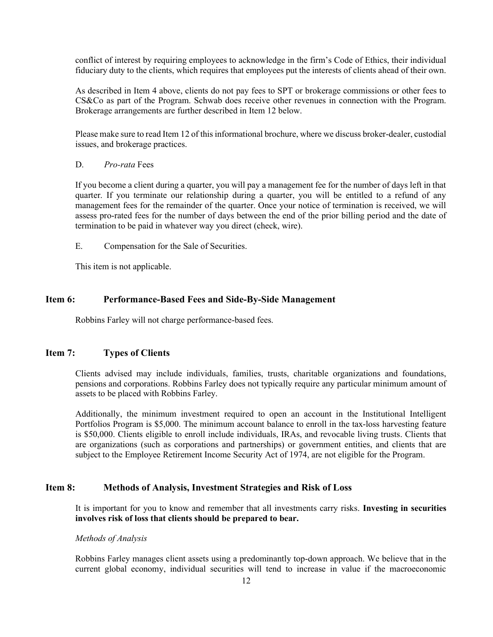conflict of interest by requiring employees to acknowledge in the firm's Code of Ethics, their individual fiduciary duty to the clients, which requires that employees put the interests of clients ahead of their own.

As described in Item 4 above, clients do not pay fees to SPT or brokerage commissions or other fees to CS&Co as part of the Program. Schwab does receive other revenues in connection with the Program. Brokerage arrangements are further described in Item 12 below.

Please make sure to read Item 12 of this informational brochure, where we discuss broker-dealer, custodial issues, and brokerage practices.

### D. Pro-rata Fees

If you become a client during a quarter, you will pay a management fee for the number of days left in that quarter. If you terminate our relationship during a quarter, you will be entitled to a refund of any management fees for the remainder of the quarter. Once your notice of termination is received, we will assess pro-rated fees for the number of days between the end of the prior billing period and the date of termination to be paid in whatever way you direct (check, wire).

E. Compensation for the Sale of Securities.

This item is not applicable.

### Item 6: Performance-Based Fees and Side-By-Side Management

Robbins Farley will not charge performance-based fees.

### Item 7: Types of Clients

Clients advised may include individuals, families, trusts, charitable organizations and foundations, pensions and corporations. Robbins Farley does not typically require any particular minimum amount of assets to be placed with Robbins Farley.

Additionally, the minimum investment required to open an account in the Institutional Intelligent Portfolios Program is \$5,000. The minimum account balance to enroll in the tax-loss harvesting feature is \$50,000. Clients eligible to enroll include individuals, IRAs, and revocable living trusts. Clients that are organizations (such as corporations and partnerships) or government entities, and clients that are subject to the Employee Retirement Income Security Act of 1974, are not eligible for the Program.

### Item 8: Methods of Analysis, Investment Strategies and Risk of Loss

It is important for you to know and remember that all investments carry risks. Investing in securities involves risk of loss that clients should be prepared to bear.

#### Methods of Analysis

Robbins Farley manages client assets using a predominantly top-down approach. We believe that in the current global economy, individual securities will tend to increase in value if the macroeconomic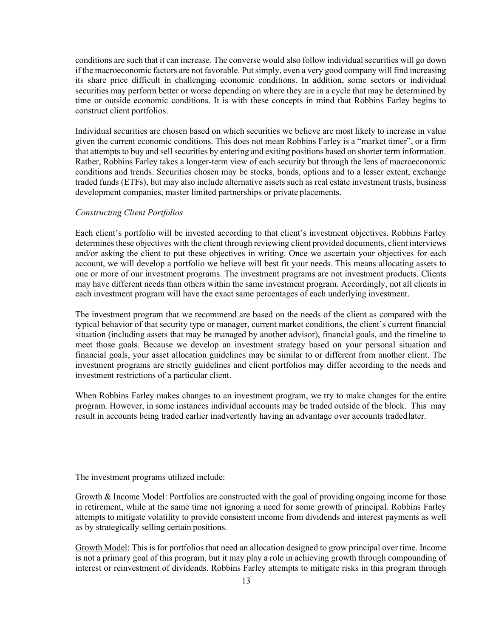conditions are such that it can increase. The converse would also follow individual securities will go down if the macroeconomic factors are not favorable. Put simply, even a very good company will find increasing its share price difficult in challenging economic conditions. In addition, some sectors or individual securities may perform better or worse depending on where they are in a cycle that may be determined by time or outside economic conditions. It is with these concepts in mind that Robbins Farley begins to construct client portfolios.

Individual securities are chosen based on which securities we believe are most likely to increase in value given the current economic conditions. This does not mean Robbins Farley is a "market timer", or a firm that attempts to buy and sell securities by entering and exiting positions based on shorter term information. Rather, Robbins Farley takes a longer-term view of each security but through the lens of macroeconomic conditions and trends. Securities chosen may be stocks, bonds, options and to a lesser extent, exchange traded funds (ETFs), but may also include alternative assets such as real estate investment trusts, business development companies, master limited partnerships or private placements.

#### Constructing Client Portfolios

Each client's portfolio will be invested according to that client's investment objectives. Robbins Farley determines these objectives with the client through reviewing client provided documents, client interviews and/or asking the client to put these objectives in writing. Once we ascertain your objectives for each account, we will develop a portfolio we believe will best fit your needs. This means allocating assets to one or more of our investment programs. The investment programs are not investment products. Clients may have different needs than others within the same investment program. Accordingly, not all clients in each investment program will have the exact same percentages of each underlying investment.

The investment program that we recommend are based on the needs of the client as compared with the typical behavior of that security type or manager, current market conditions, the client's current financial situation (including assets that may be managed by another advisor), financial goals, and the timeline to meet those goals. Because we develop an investment strategy based on your personal situation and financial goals, your asset allocation guidelines may be similar to or different from another client. The investment programs are strictly guidelines and client portfolios may differ according to the needs and investment restrictions of a particular client.

When Robbins Farley makes changes to an investment program, we try to make changes for the entire program. However, in some instances individual accounts may be traded outside of the block. This may result in accounts being traded earlier inadvertently having an advantage over accounts traded later.

The investment programs utilized include:

Growth & Income Model: Portfolios are constructed with the goal of providing ongoing income for those in retirement, while at the same time not ignoring a need for some growth of principal. Robbins Farley attempts to mitigate volatility to provide consistent income from dividends and interest payments as well as by strategically selling certain positions.

Growth Model: This is for portfolios that need an allocation designed to grow principal over time. Income is not a primary goal of this program, but it may play a role in achieving growth through compounding of interest or reinvestment of dividends. Robbins Farley attempts to mitigate risks in this program through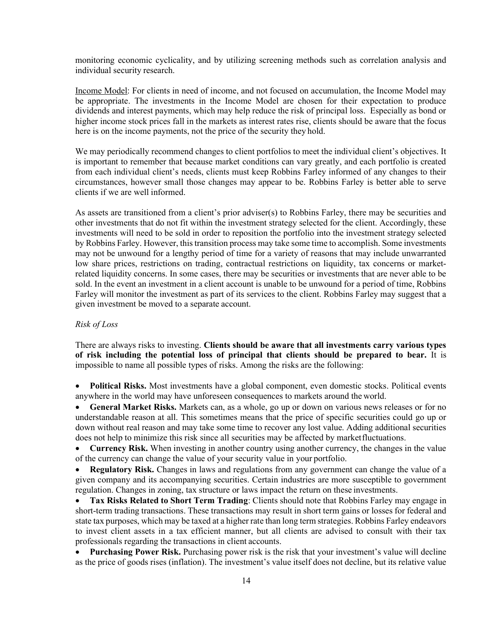monitoring economic cyclicality, and by utilizing screening methods such as correlation analysis and individual security research.

Income Model: For clients in need of income, and not focused on accumulation, the Income Model may be appropriate. The investments in the Income Model are chosen for their expectation to produce dividends and interest payments, which may help reduce the risk of principal loss. Especially as bond or higher income stock prices fall in the markets as interest rates rise, clients should be aware that the focus here is on the income payments, not the price of the security they hold.

We may periodically recommend changes to client portfolios to meet the individual client's objectives. It is important to remember that because market conditions can vary greatly, and each portfolio is created from each individual client's needs, clients must keep Robbins Farley informed of any changes to their circumstances, however small those changes may appear to be. Robbins Farley is better able to serve clients if we are well informed.

As assets are transitioned from a client's prior adviser(s) to Robbins Farley, there may be securities and other investments that do not fit within the investment strategy selected for the client. Accordingly, these investments will need to be sold in order to reposition the portfolio into the investment strategy selected by Robbins Farley. However, this transition process may take some time to accomplish. Some investments may not be unwound for a lengthy period of time for a variety of reasons that may include unwarranted low share prices, restrictions on trading, contractual restrictions on liquidity, tax concerns or marketrelated liquidity concerns. In some cases, there may be securities or investments that are never able to be sold. In the event an investment in a client account is unable to be unwound for a period of time, Robbins Farley will monitor the investment as part of its services to the client. Robbins Farley may suggest that a given investment be moved to a separate account.

#### Risk of Loss

There are always risks to investing. Clients should be aware that all investments carry various types of risk including the potential loss of principal that clients should be prepared to bear. It is impossible to name all possible types of risks. Among the risks are the following:

 Political Risks. Most investments have a global component, even domestic stocks. Political events anywhere in the world may have unforeseen consequences to markets around the world.

• General Market Risks. Markets can, as a whole, go up or down on various news releases or for no understandable reason at all. This sometimes means that the price of specific securities could go up or down without real reason and may take some time to recover any lost value. Adding additional securities does not help to minimize this risk since all securities may be affected by market fluctuations.

 Currency Risk. When investing in another country using another currency, the changes in the value of the currency can change the value of your security value in your portfolio.

• Regulatory Risk. Changes in laws and regulations from any government can change the value of a given company and its accompanying securities. Certain industries are more susceptible to government regulation. Changes in zoning, tax structure or laws impact the return on these investments.

• Tax Risks Related to Short Term Trading: Clients should note that Robbins Farley may engage in short-term trading transactions. These transactions may result in short term gains or losses for federal and state tax purposes, which may be taxed at a higher rate than long term strategies. Robbins Farley endeavors to invest client assets in a tax efficient manner, but all clients are advised to consult with their tax professionals regarding the transactions in client accounts.

• Purchasing Power Risk. Purchasing power risk is the risk that your investment's value will decline as the price of goods rises (inflation). The investment's value itself does not decline, but its relative value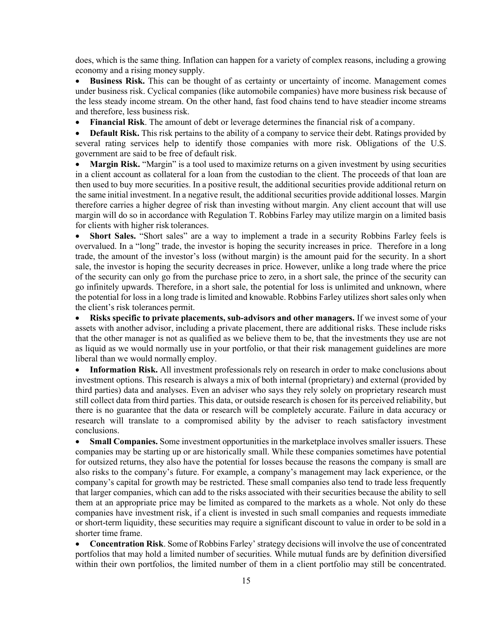does, which is the same thing. Inflation can happen for a variety of complex reasons, including a growing economy and a rising money supply.

 Business Risk. This can be thought of as certainty or uncertainty of income. Management comes under business risk. Cyclical companies (like automobile companies) have more business risk because of the less steady income stream. On the other hand, fast food chains tend to have steadier income streams and therefore, less business risk.

• Financial Risk. The amount of debt or leverage determines the financial risk of a company.

• Default Risk. This risk pertains to the ability of a company to service their debt. Ratings provided by several rating services help to identify those companies with more risk. Obligations of the U.S. government are said to be free of default risk.

• Margin Risk. "Margin" is a tool used to maximize returns on a given investment by using securities in a client account as collateral for a loan from the custodian to the client. The proceeds of that loan are then used to buy more securities. In a positive result, the additional securities provide additional return on the same initial investment. In a negative result, the additional securities provide additional losses. Margin therefore carries a higher degree of risk than investing without margin. Any client account that will use margin will do so in accordance with Regulation T. Robbins Farley may utilize margin on a limited basis for clients with higher risk tolerances.

 Short Sales. "Short sales" are a way to implement a trade in a security Robbins Farley feels is overvalued. In a "long" trade, the investor is hoping the security increases in price. Therefore in a long trade, the amount of the investor's loss (without margin) is the amount paid for the security. In a short sale, the investor is hoping the security decreases in price. However, unlike a long trade where the price of the security can only go from the purchase price to zero, in a short sale, the prince of the security can go infinitely upwards. Therefore, in a short sale, the potential for loss is unlimited and unknown, where the potential for loss in a long trade is limited and knowable. Robbins Farley utilizes short sales only when the client's risk tolerances permit.

 Risks specific to private placements, sub-advisors and other managers. If we invest some of your assets with another advisor, including a private placement, there are additional risks. These include risks that the other manager is not as qualified as we believe them to be, that the investments they use are not as liquid as we would normally use in your portfolio, or that their risk management guidelines are more liberal than we would normally employ.

• Information Risk. All investment professionals rely on research in order to make conclusions about investment options. This research is always a mix of both internal (proprietary) and external (provided by third parties) data and analyses. Even an adviser who says they rely solely on proprietary research must still collect data from third parties. This data, or outside research is chosen for its perceived reliability, but there is no guarantee that the data or research will be completely accurate. Failure in data accuracy or research will translate to a compromised ability by the adviser to reach satisfactory investment conclusions.

 Small Companies. Some investment opportunities in the marketplace involves smaller issuers. These companies may be starting up or are historically small. While these companies sometimes have potential for outsized returns, they also have the potential for losses because the reasons the company is small are also risks to the company's future. For example, a company's management may lack experience, or the company's capital for growth may be restricted. These small companies also tend to trade less frequently that larger companies, which can add to the risks associated with their securities because the ability to sell them at an appropriate price may be limited as compared to the markets as a whole. Not only do these companies have investment risk, if a client is invested in such small companies and requests immediate or short-term liquidity, these securities may require a significant discount to value in order to be sold in a shorter time frame.

• Concentration Risk. Some of Robbins Farley' strategy decisions will involve the use of concentrated portfolios that may hold a limited number of securities. While mutual funds are by definition diversified within their own portfolios, the limited number of them in a client portfolio may still be concentrated.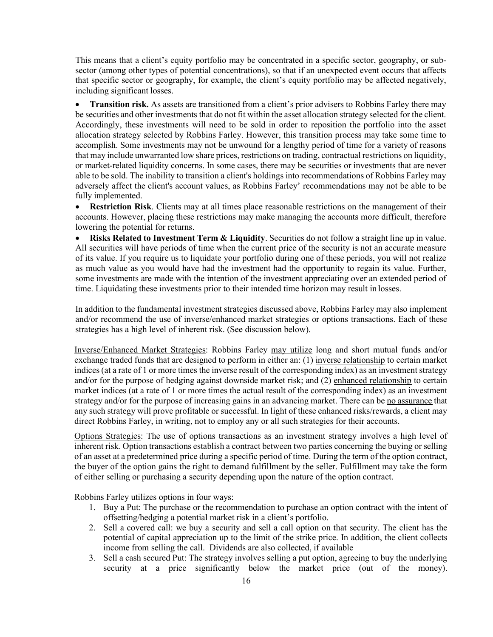This means that a client's equity portfolio may be concentrated in a specific sector, geography, or subsector (among other types of potential concentrations), so that if an unexpected event occurs that affects that specific sector or geography, for example, the client's equity portfolio may be affected negatively, including significant losses.

• Transition risk. As assets are transitioned from a client's prior advisers to Robbins Farley there may be securities and other investments that do not fit within the asset allocation strategy selected for the client. Accordingly, these investments will need to be sold in order to reposition the portfolio into the asset allocation strategy selected by Robbins Farley. However, this transition process may take some time to accomplish. Some investments may not be unwound for a lengthy period of time for a variety of reasons that may include unwarranted low share prices, restrictions on trading, contractual restrictions on liquidity, or market-related liquidity concerns. In some cases, there may be securities or investments that are never able to be sold. The inability to transition a client's holdings into recommendations of Robbins Farley may adversely affect the client's account values, as Robbins Farley' recommendations may not be able to be fully implemented.

• Restriction Risk. Clients may at all times place reasonable restrictions on the management of their accounts. However, placing these restrictions may make managing the accounts more difficult, therefore lowering the potential for returns.

**• Risks Related to Investment Term & Liquidity.** Securities do not follow a straight line up in value. All securities will have periods of time when the current price of the security is not an accurate measure of its value. If you require us to liquidate your portfolio during one of these periods, you will not realize as much value as you would have had the investment had the opportunity to regain its value. Further, some investments are made with the intention of the investment appreciating over an extended period of time. Liquidating these investments prior to their intended time horizon may result in losses.

In addition to the fundamental investment strategies discussed above, Robbins Farley may also implement and/or recommend the use of inverse/enhanced market strategies or options transactions. Each of these strategies has a high level of inherent risk. (See discussion below).

Inverse/Enhanced Market Strategies: Robbins Farley may utilize long and short mutual funds and/or exchange traded funds that are designed to perform in either an: (1) inverse relationship to certain market indices (at a rate of 1 or more times the inverse result of the corresponding index) as an investment strategy and/or for the purpose of hedging against downside market risk; and (2) enhanced relationship to certain market indices (at a rate of 1 or more times the actual result of the corresponding index) as an investment strategy and/or for the purpose of increasing gains in an advancing market. There can be no assurance that any such strategy will prove profitable or successful. In light of these enhanced risks/rewards, a client may direct Robbins Farley, in writing, not to employ any or all such strategies for their accounts.

Options Strategies: The use of options transactions as an investment strategy involves a high level of inherent risk. Option transactions establish a contract between two parties concerning the buying or selling of an asset at a predetermined price during a specific period of time. During the term of the option contract, the buyer of the option gains the right to demand fulfillment by the seller. Fulfillment may take the form of either selling or purchasing a security depending upon the nature of the option contract.

Robbins Farley utilizes options in four ways:

- 1. Buy a Put: The purchase or the recommendation to purchase an option contract with the intent of offsetting/hedging a potential market risk in a client's portfolio.
- 2. Sell a covered call: we buy a security and sell a call option on that security. The client has the potential of capital appreciation up to the limit of the strike price. In addition, the client collects income from selling the call. Dividends are also collected, if available
- 3. Sell a cash secured Put: The strategy involves selling a put option, agreeing to buy the underlying security at a price significantly below the market price (out of the money).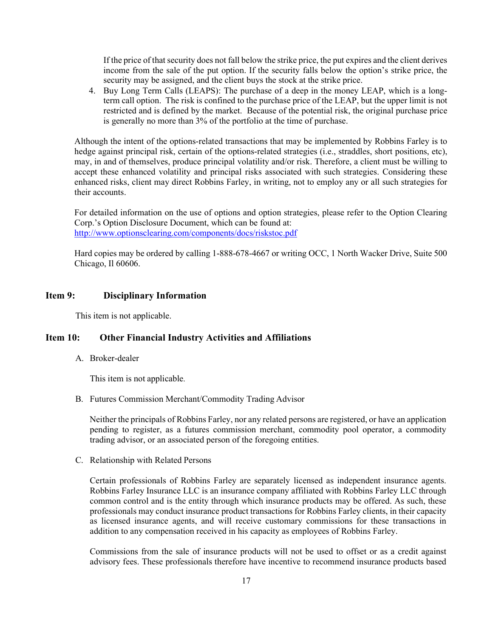If the price of that security does not fall below the strike price, the put expires and the client derives income from the sale of the put option. If the security falls below the option's strike price, the security may be assigned, and the client buys the stock at the strike price.

4. Buy Long Term Calls (LEAPS): The purchase of a deep in the money LEAP, which is a longterm call option. The risk is confined to the purchase price of the LEAP, but the upper limit is not restricted and is defined by the market. Because of the potential risk, the original purchase price is generally no more than 3% of the portfolio at the time of purchase.

Although the intent of the options-related transactions that may be implemented by Robbins Farley is to hedge against principal risk, certain of the options-related strategies (i.e., straddles, short positions, etc), may, in and of themselves, produce principal volatility and/or risk. Therefore, a client must be willing to accept these enhanced volatility and principal risks associated with such strategies. Considering these enhanced risks, client may direct Robbins Farley, in writing, not to employ any or all such strategies for their accounts.

For detailed information on the use of options and option strategies, please refer to the Option Clearing Corp.'s Option Disclosure Document, which can be found at: http://www.optionsclearing.com/components/docs/riskstoc.pdf

Hard copies may be ordered by calling 1-888-678-4667 or writing OCC, 1 North Wacker Drive, Suite 500 Chicago, Il 60606.

### Item 9: Disciplinary Information

This item is not applicable.

### Item 10: Other Financial Industry Activities and Affiliations

A. Broker-dealer

This item is not applicable.

B. Futures Commission Merchant/Commodity Trading Advisor

Neither the principals of Robbins Farley, nor any related persons are registered, or have an application pending to register, as a futures commission merchant, commodity pool operator, a commodity trading advisor, or an associated person of the foregoing entities.

C. Relationship with Related Persons

Certain professionals of Robbins Farley are separately licensed as independent insurance agents. Robbins Farley Insurance LLC is an insurance company affiliated with Robbins Farley LLC through common control and is the entity through which insurance products may be offered. As such, these professionals may conduct insurance product transactions for Robbins Farley clients, in their capacity as licensed insurance agents, and will receive customary commissions for these transactions in addition to any compensation received in his capacity as employees of Robbins Farley.

Commissions from the sale of insurance products will not be used to offset or as a credit against advisory fees. These professionals therefore have incentive to recommend insurance products based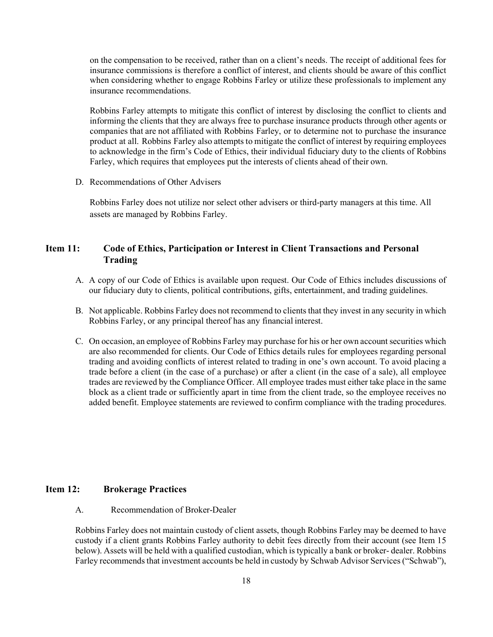on the compensation to be received, rather than on a client's needs. The receipt of additional fees for insurance commissions is therefore a conflict of interest, and clients should be aware of this conflict when considering whether to engage Robbins Farley or utilize these professionals to implement any insurance recommendations.

Robbins Farley attempts to mitigate this conflict of interest by disclosing the conflict to clients and informing the clients that they are always free to purchase insurance products through other agents or companies that are not affiliated with Robbins Farley, or to determine not to purchase the insurance product at all. Robbins Farley also attempts to mitigate the conflict of interest by requiring employees to acknowledge in the firm's Code of Ethics, their individual fiduciary duty to the clients of Robbins Farley, which requires that employees put the interests of clients ahead of their own.

D. Recommendations of Other Advisers

Robbins Farley does not utilize nor select other advisers or third-party managers at this time. All assets are managed by Robbins Farley.

# Item 11: Code of Ethics, Participation or Interest in Client Transactions and Personal Trading

- A. A copy of our Code of Ethics is available upon request. Our Code of Ethics includes discussions of our fiduciary duty to clients, political contributions, gifts, entertainment, and trading guidelines.
- B. Not applicable. Robbins Farley does not recommend to clients that they invest in any security in which Robbins Farley, or any principal thereof has any financial interest.
- C. On occasion, an employee of Robbins Farley may purchase for his or her own account securities which are also recommended for clients. Our Code of Ethics details rules for employees regarding personal trading and avoiding conflicts of interest related to trading in one's own account. To avoid placing a trade before a client (in the case of a purchase) or after a client (in the case of a sale), all employee trades are reviewed by the Compliance Officer. All employee trades must either take place in the same block as a client trade or sufficiently apart in time from the client trade, so the employee receives no added benefit. Employee statements are reviewed to confirm compliance with the trading procedures.

### Item 12: Brokerage Practices

A. Recommendation of Broker-Dealer

Robbins Farley does not maintain custody of client assets, though Robbins Farley may be deemed to have custody if a client grants Robbins Farley authority to debit fees directly from their account (see Item 15 below). Assets will be held with a qualified custodian, which is typically a bank or broker- dealer. Robbins Farley recommends that investment accounts be held in custody by Schwab Advisor Services ("Schwab"),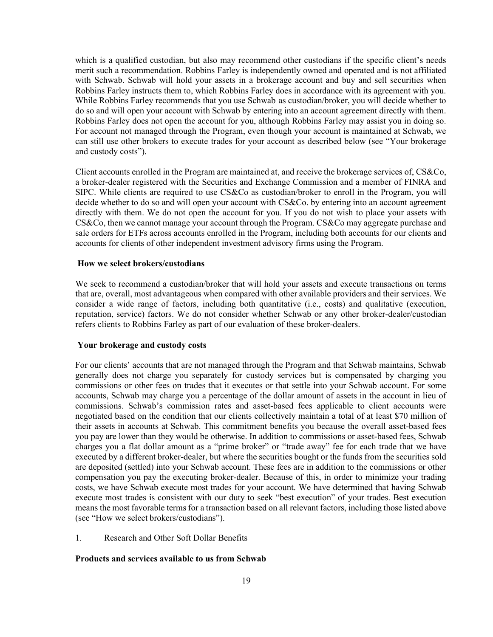which is a qualified custodian, but also may recommend other custodians if the specific client's needs merit such a recommendation. Robbins Farley is independently owned and operated and is not affiliated with Schwab. Schwab will hold your assets in a brokerage account and buy and sell securities when Robbins Farley instructs them to, which Robbins Farley does in accordance with its agreement with you. While Robbins Farley recommends that you use Schwab as custodian/broker, you will decide whether to do so and will open your account with Schwab by entering into an account agreement directly with them. Robbins Farley does not open the account for you, although Robbins Farley may assist you in doing so. For account not managed through the Program, even though your account is maintained at Schwab, we can still use other brokers to execute trades for your account as described below (see "Your brokerage and custody costs").

Client accounts enrolled in the Program are maintained at, and receive the brokerage services of, CS&Co, a broker-dealer registered with the Securities and Exchange Commission and a member of FINRA and SIPC. While clients are required to use CS&Co as custodian/broker to enroll in the Program, you will decide whether to do so and will open your account with CS&Co. by entering into an account agreement directly with them. We do not open the account for you. If you do not wish to place your assets with CS&Co, then we cannot manage your account through the Program. CS&Co may aggregate purchase and sale orders for ETFs across accounts enrolled in the Program, including both accounts for our clients and accounts for clients of other independent investment advisory firms using the Program.

#### How we select brokers/custodians

We seek to recommend a custodian/broker that will hold your assets and execute transactions on terms that are, overall, most advantageous when compared with other available providers and their services. We consider a wide range of factors, including both quantitative (i.e., costs) and qualitative (execution, reputation, service) factors. We do not consider whether Schwab or any other broker-dealer/custodian refers clients to Robbins Farley as part of our evaluation of these broker-dealers.

### Your brokerage and custody costs

For our clients' accounts that are not managed through the Program and that Schwab maintains, Schwab generally does not charge you separately for custody services but is compensated by charging you commissions or other fees on trades that it executes or that settle into your Schwab account. For some accounts, Schwab may charge you a percentage of the dollar amount of assets in the account in lieu of commissions. Schwab's commission rates and asset-based fees applicable to client accounts were negotiated based on the condition that our clients collectively maintain a total of at least \$70 million of their assets in accounts at Schwab. This commitment benefits you because the overall asset-based fees you pay are lower than they would be otherwise. In addition to commissions or asset-based fees, Schwab charges you a flat dollar amount as a "prime broker" or "trade away" fee for each trade that we have executed by a different broker-dealer, but where the securities bought or the funds from the securities sold are deposited (settled) into your Schwab account. These fees are in addition to the commissions or other compensation you pay the executing broker-dealer. Because of this, in order to minimize your trading costs, we have Schwab execute most trades for your account. We have determined that having Schwab execute most trades is consistent with our duty to seek "best execution" of your trades. Best execution means the most favorable terms for a transaction based on all relevant factors, including those listed above (see "How we select brokers/custodians").

#### 1. Research and Other Soft Dollar Benefits

#### Products and services available to us from Schwab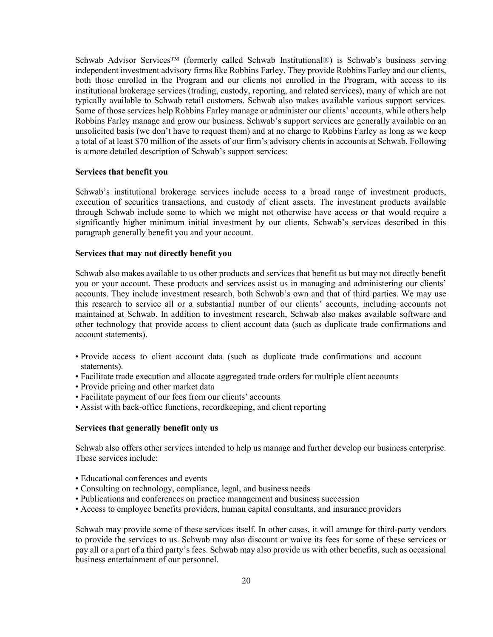Schwab Advisor Services™ (formerly called Schwab Institutional®) is Schwab's business serving independent investment advisory firms like Robbins Farley. They provide Robbins Farley and our clients, both those enrolled in the Program and our clients not enrolled in the Program, with access to its institutional brokerage services (trading, custody, reporting, and related services), many of which are not typically available to Schwab retail customers. Schwab also makes available various support services. Some of those services help Robbins Farley manage or administer our clients' accounts, while others help Robbins Farley manage and grow our business. Schwab's support services are generally available on an unsolicited basis (we don't have to request them) and at no charge to Robbins Farley as long as we keep a total of at least \$70 million of the assets of our firm's advisory clients in accounts at Schwab. Following is a more detailed description of Schwab's support services:

#### Services that benefit you

Schwab's institutional brokerage services include access to a broad range of investment products, execution of securities transactions, and custody of client assets. The investment products available through Schwab include some to which we might not otherwise have access or that would require a significantly higher minimum initial investment by our clients. Schwab's services described in this paragraph generally benefit you and your account.

#### Services that may not directly benefit you

Schwab also makes available to us other products and services that benefit us but may not directly benefit you or your account. These products and services assist us in managing and administering our clients' accounts. They include investment research, both Schwab's own and that of third parties. We may use this research to service all or a substantial number of our clients' accounts, including accounts not maintained at Schwab. In addition to investment research, Schwab also makes available software and other technology that provide access to client account data (such as duplicate trade confirmations and account statements).

- Provide access to client account data (such as duplicate trade confirmations and account statements).
- Facilitate trade execution and allocate aggregated trade orders for multiple client accounts
- Provide pricing and other market data
- Facilitate payment of our fees from our clients' accounts
- Assist with back-office functions, recordkeeping, and client reporting

### Services that generally benefit only us

Schwab also offers other services intended to help us manage and further develop our business enterprise. These services include:

- Educational conferences and events
- Consulting on technology, compliance, legal, and business needs
- Publications and conferences on practice management and business succession
- Access to employee benefits providers, human capital consultants, and insurance providers

Schwab may provide some of these services itself. In other cases, it will arrange for third-party vendors to provide the services to us. Schwab may also discount or waive its fees for some of these services or pay all or a part of a third party's fees. Schwab may also provide us with other benefits, such as occasional business entertainment of our personnel.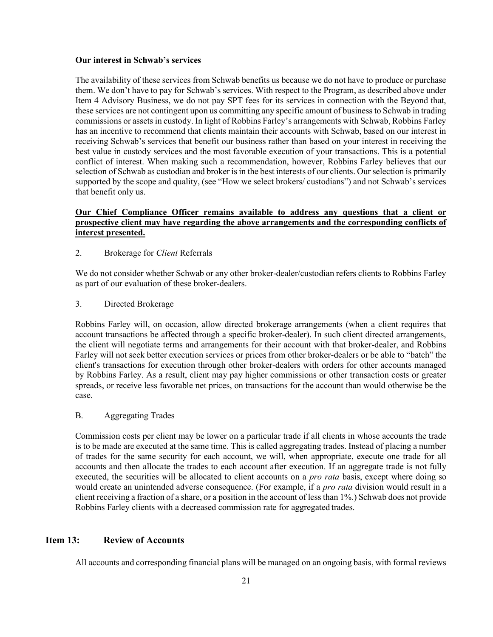### Our interest in Schwab's services

The availability of these services from Schwab benefits us because we do not have to produce or purchase them. We don't have to pay for Schwab's services. With respect to the Program, as described above under Item 4 Advisory Business, we do not pay SPT fees for its services in connection with the Beyond that, these services are not contingent upon us committing any specific amount of business to Schwab in trading commissions or assets in custody. In light of Robbins Farley's arrangements with Schwab, Robbins Farley has an incentive to recommend that clients maintain their accounts with Schwab, based on our interest in receiving Schwab's services that benefit our business rather than based on your interest in receiving the best value in custody services and the most favorable execution of your transactions. This is a potential conflict of interest. When making such a recommendation, however, Robbins Farley believes that our selection of Schwab as custodian and broker is in the best interests of our clients. Our selection is primarily supported by the scope and quality, (see "How we select brokers/ custodians") and not Schwab's services that benefit only us.

## Our Chief Compliance Officer remains available to address any questions that a client or prospective client may have regarding the above arrangements and the corresponding conflicts of interest presented.

2. Brokerage for Client Referrals

We do not consider whether Schwab or any other broker-dealer/custodian refers clients to Robbins Farley as part of our evaluation of these broker-dealers.

3. Directed Brokerage

Robbins Farley will, on occasion, allow directed brokerage arrangements (when a client requires that account transactions be affected through a specific broker-dealer). In such client directed arrangements, the client will negotiate terms and arrangements for their account with that broker-dealer, and Robbins Farley will not seek better execution services or prices from other broker-dealers or be able to "batch" the client's transactions for execution through other broker-dealers with orders for other accounts managed by Robbins Farley. As a result, client may pay higher commissions or other transaction costs or greater spreads, or receive less favorable net prices, on transactions for the account than would otherwise be the case.

B. Aggregating Trades

Commission costs per client may be lower on a particular trade if all clients in whose accounts the trade is to be made are executed at the same time. This is called aggregating trades. Instead of placing a number of trades for the same security for each account, we will, when appropriate, execute one trade for all accounts and then allocate the trades to each account after execution. If an aggregate trade is not fully executed, the securities will be allocated to client accounts on a *pro rata* basis, except where doing so would create an unintended adverse consequence. (For example, if a *pro rata* division would result in a client receiving a fraction of a share, or a position in the account of less than 1%.) Schwab does not provide Robbins Farley clients with a decreased commission rate for aggregated trades.

### Item 13: Review of Accounts

All accounts and corresponding financial plans will be managed on an ongoing basis, with formal reviews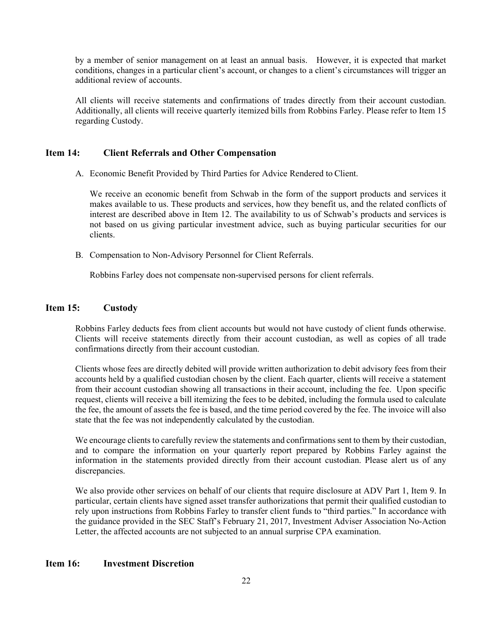by a member of senior management on at least an annual basis. However, it is expected that market conditions, changes in a particular client's account, or changes to a client's circumstances will trigger an additional review of accounts.

All clients will receive statements and confirmations of trades directly from their account custodian. Additionally, all clients will receive quarterly itemized bills from Robbins Farley. Please refer to Item 15 regarding Custody.

### Item 14: Client Referrals and Other Compensation

A. Economic Benefit Provided by Third Parties for Advice Rendered to Client.

We receive an economic benefit from Schwab in the form of the support products and services it makes available to us. These products and services, how they benefit us, and the related conflicts of interest are described above in Item 12. The availability to us of Schwab's products and services is not based on us giving particular investment advice, such as buying particular securities for our clients.

B. Compensation to Non-Advisory Personnel for Client Referrals.

Robbins Farley does not compensate non-supervised persons for client referrals.

### Item 15: Custody

Robbins Farley deducts fees from client accounts but would not have custody of client funds otherwise. Clients will receive statements directly from their account custodian, as well as copies of all trade confirmations directly from their account custodian.

Clients whose fees are directly debited will provide written authorization to debit advisory fees from their accounts held by a qualified custodian chosen by the client. Each quarter, clients will receive a statement from their account custodian showing all transactions in their account, including the fee. Upon specific request, clients will receive a bill itemizing the fees to be debited, including the formula used to calculate the fee, the amount of assets the fee is based, and the time period covered by the fee. The invoice will also state that the fee was not independently calculated by the custodian.

We encourage clients to carefully review the statements and confirmations sent to them by their custodian, and to compare the information on your quarterly report prepared by Robbins Farley against the information in the statements provided directly from their account custodian. Please alert us of any discrepancies.

We also provide other services on behalf of our clients that require disclosure at ADV Part 1, Item 9. In particular, certain clients have signed asset transfer authorizations that permit their qualified custodian to rely upon instructions from Robbins Farley to transfer client funds to "third parties." In accordance with the guidance provided in the SEC Staff's February 21, 2017, Investment Adviser Association No-Action Letter, the affected accounts are not subjected to an annual surprise CPA examination.

# Item 16: Investment Discretion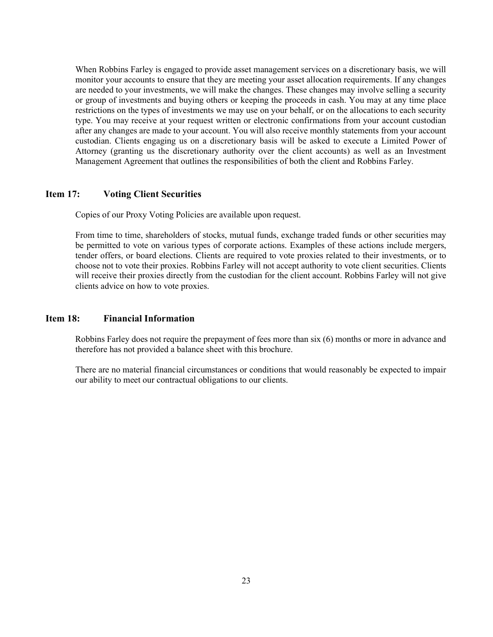When Robbins Farley is engaged to provide asset management services on a discretionary basis, we will monitor your accounts to ensure that they are meeting your asset allocation requirements. If any changes are needed to your investments, we will make the changes. These changes may involve selling a security or group of investments and buying others or keeping the proceeds in cash. You may at any time place restrictions on the types of investments we may use on your behalf, or on the allocations to each security type. You may receive at your request written or electronic confirmations from your account custodian after any changes are made to your account. You will also receive monthly statements from your account custodian. Clients engaging us on a discretionary basis will be asked to execute a Limited Power of Attorney (granting us the discretionary authority over the client accounts) as well as an Investment Management Agreement that outlines the responsibilities of both the client and Robbins Farley.

### Item 17: Voting Client Securities

Copies of our Proxy Voting Policies are available upon request.

From time to time, shareholders of stocks, mutual funds, exchange traded funds or other securities may be permitted to vote on various types of corporate actions. Examples of these actions include mergers, tender offers, or board elections. Clients are required to vote proxies related to their investments, or to choose not to vote their proxies. Robbins Farley will not accept authority to vote client securities. Clients will receive their proxies directly from the custodian for the client account. Robbins Farley will not give clients advice on how to vote proxies.

## Item 18: Financial Information

Robbins Farley does not require the prepayment of fees more than six (6) months or more in advance and therefore has not provided a balance sheet with this brochure.

There are no material financial circumstances or conditions that would reasonably be expected to impair our ability to meet our contractual obligations to our clients.